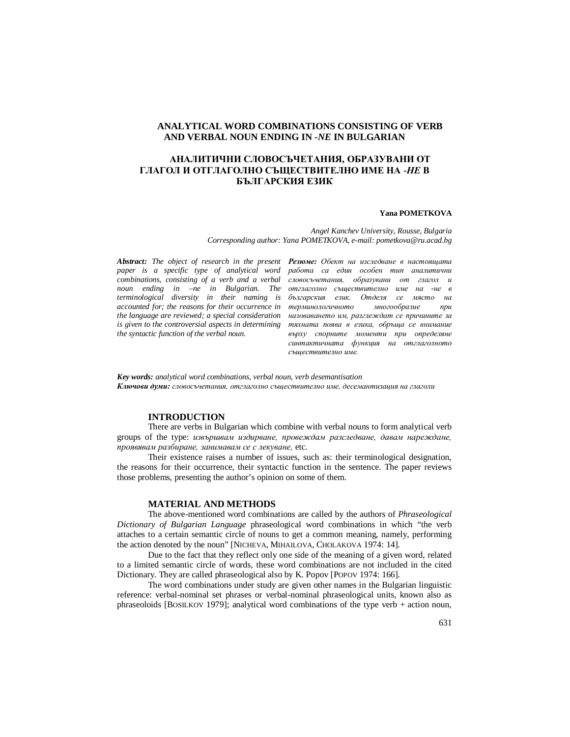# **ANALYTICAL WORD COMBINATIONS CONSISTING OF VERB AND VERBAL NOUN ENDING IN** *-NE* **IN BULGARIAN**

# **АНАЛИТИЧНИ СЛОВОСЪЧЕТАНИЯ, ОБРАЗУВАНИ ОТ ГЛАГОЛ И ОТГЛАГОЛНО СЪЩЕСТВИТЕЛНО ИМЕ НА -***НЕ* **В БЪЛГАРСКИЯ ЕЗИК**

#### **Yana POMETKOVA**

*Angel Kanchev University, Rousse, Bulgaria Corresponding author: Yana POMETKOVA, e-mail: pometkova@ru.acad.bg*

*Abstract: The object of research in the present paper is a specific type of analytical word combinations, consisting of a verb and a verbal accounted for; the reasons for their occurrence in the language are reviewed; a special consideration is given to the controversial aspects in determining the syntactic function of the verbal noun.*

*noun ending in –ne in Bulgarian. The отглаголно съществително име на -не в terminological diversity in their naming is българския език. Отделя се място на Резюме: Обект на изследване в настоящата работа са един особен тип аналитични словосъчетания, образувани от глагол и терминологичното многообразие при назоваването им, разглеждат се причините за тяхната поява в езика, обръща се внимание върху спорните моменти при определяне синтактичната функция на отглаголното съществително име.*

*Key words: analytical word combinations, verbal noun, verb desemantisation Ключови думи: словосъчетания, отглаголно съществително име, десемантизация на глаголи*

# **INTRODUCTION**

There are verbs in Bulgarian which combine with verbal nouns to form analytical verb groups of the type: *извършвам издирване, провеждам разследване, давам нареждане, проявявам разбиране, занимавам се с лекуване,* etc.

Their existence raises a number of issues, such as: their terminological designation, the reasons for their occurrence, their syntactic function in the sentence. The paper reviews those problems, presenting the author's opinion on some of them.

## **MATERIAL AND METHODS**

The above-mentioned word combinations are called by the authors of *Phraseological Dictionary of Bulgarian Language* phraseological word combinations in which "the verb attaches to a certain semantic circle of nouns to get a common meaning, namely, performing the action denoted by the noun" [NICHEVA, MIHAILOVA, CHOLAKOVA 1974: 14].

Due to the fact that they reflect only one side of the meaning of a given word, related to a limited semantic circle of words, these word combinations are not included in the cited Dictionary. They are called phraseological also by K. Popov [POPOV 1974: 166].

The word combinations under study are given other names in the Bulgarian linguistic reference: verbal-nominal set phrases or verbal-nominal phraseological units, known also as phraseoloids [BOSILKOV 1979]; analytical word combinations of the type verb + action noun,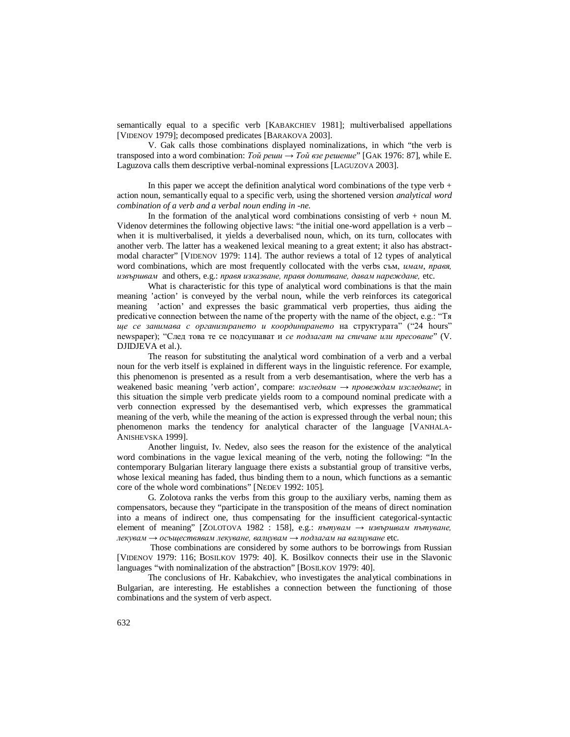semantically equal to a specific verb [KABAKCHIEV 1981]; multiverbalised appellations [VIDENOV 1979]; decomposed predicates [BARAKOVA 2003].

V. Gak calls those combinations displayed nominalizations, in which "the verb is transposed into a word combination: *Той реши* → *Той взе решение*" [GAK 1976: 87], while E. Laguzova calls them descriptive verbal-nominal expressions [LAGUZOVA 2003].

In this paper we accept the definition analytical word combinations of the type verb  $+$ action noun, semantically equal to a specific verb, using the shortened version *analytical word combination of a verb and a verbal noun ending in -ne.*

In the formation of the analytical word combinations consisting of verb  $+$  noun M. Videnov determines the following objective laws: "the initial one-word appellation is a verb – when it is multiverbalised, it yields a deverbalised noun, which, on its turn, collocates with another verb. The latter has a weakened lexical meaning to a great extent; it also has abstractmodal character" [VIDENOV 1979: 114]. The author reviews a total of 12 types of analytical word combinations, which are most frequently collocated with the verbs съм, *имам*, *правя, извършвам* and others, e.g.: *правя изказване, правя допитване, давам нареждане,* etc.

What is characteristic for this type of analytical word combinations is that the main meaning 'action' is conveyed by the verbal noun, while the verb reinforces its categorical meaning 'action' and expresses the basic grammatical verb properties, thus aiding the predicative connection between the name of the property with the name of the object, e.g.: "Тя *ще се занимава с организирането и координирането* на структурата" ("24 hours" newspaper); "След това те се подсушават и *се подлагат на спичане или пресоване*" (V. DJIDJEVA et al.).

The reason for substituting the analytical word combination of a verb and a verbal noun for the verb itself is explained in different ways in the linguistic reference. For example, this phenomenon is presented as a result from a verb desemantisation, where the verb has a weakened basic meaning 'verb action', compare: *изследвам → провеждам изследване*; in this situation the simple verb predicate yields room to a compound nominal predicate with a verb connection expressed by the desemantised verb, which expresses the grammatical meaning of the verb, while the meaning of the action is expressed through the verbal noun; this phenomenon marks the tendency for analytical character of the language [VANHALA-ANISHEVSKA 1999].

Another linguist, Iv. Nedev, also sees the reason for the existence of the analytical word combinations in the vague lexical meaning of the verb, noting the following: "In the contemporary Bulgarian literary language there exists a substantial group of transitive verbs, whose lexical meaning has faded, thus binding them to a noun, which functions as a semantic core of the whole word combinations" [NEDEV 1992: 105].

G. Zolotova ranks the verbs from this group to the auxiliary verbs, naming them as compensators, because they "participate in the transposition of the means of direct nomination into a means of indirect one, thus compensating for the insufficient categorical-syntactic element of meaning" [ZOLOTOVA 1982 : 158], e.g.: *пътувам → извършвам пътуване, лекувам → осъществявам лекуване, валцувам → подлагам на валцуване* etc*.*

 Those combinations are considered by some authors to be borrowings from Russian [VIDENOV 1979: 116; BOSILKOV 1979: 40]. K. Bosilkov connects their use in the Slavonic languages "with nominalization of the abstraction" [BOSILKOV 1979: 40].

The conclusions of Hr. Kabakchiev, who investigates the analytical combinations in Bulgarian, are interesting. He establishes a connection between the functioning of those combinations and the system of verb aspect.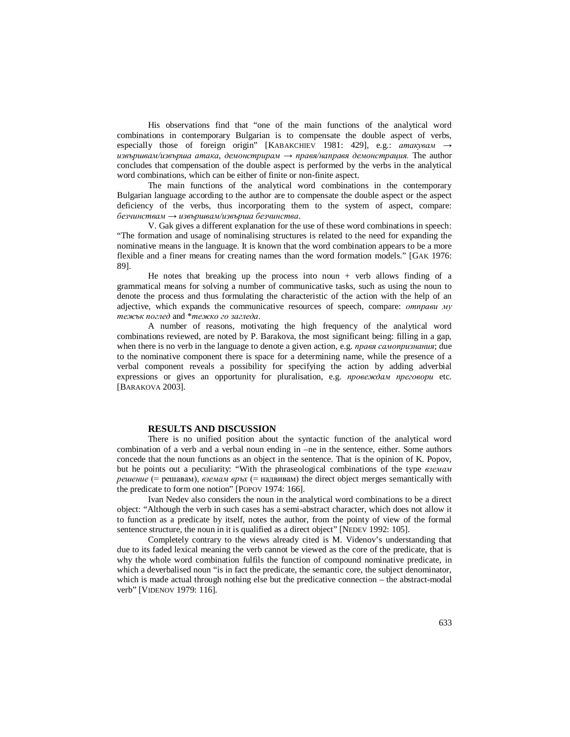His observations find that "one of the main functions of the analytical word combinations in contemporary Bulgarian is to compensate the double aspect of verbs, especially those of foreign origin" [KABAKCHIEV 1981: 429], e.g.: *атакувам* → *извършвам/извърша атака*, *демонстрирам* → *правя/направя демонстрация.* The author concludes that compensation of the double aspect is performed by the verbs in the analytical word combinations, which can be either of finite or non-finite aspect.

The main functions of the analytical word combinations in the contemporary Bulgarian language according to the author are to compensate the double aspect or the aspect deficiency of the verbs, thus incorporating them to the system of aspect, compare: *безчинствам* → *извършвам/извърша безчинства*.

V. Gak gives a different explanation for the use of these word combinations in speech: "The formation and usage of nominalising structures is related to the need for expanding the nominative means in the language. It is known that the word combination appears to be a more flexible and a finer means for creating names than the word formation models." [GAK 1976: 89].

He notes that breaking up the process into noun + verb allows finding of a grammatical means for solving a number of communicative tasks, such as using the noun to denote the process and thus formulating the characteristic of the action with the help of an adjective, which expands the communicative resources of speech, compare: *отправи му тежък поглед* and \**тежко го загледа*.

A number of reasons, motivating the high frequency of the analytical word combinations reviewed, are noted by P. Barakova, the most significant being: filling in a gap, when there is no verb in the language to denote a given action, e.g. *правя самопризнания*; due to the nominative component there is space for a determining name, while the presence of a verbal component reveals a possibility for specifying the action by adding adverbial expressions or gives an opportunity for pluralisation, e.g. *провеждам преговори* etc. [BARAKOVA 2003].

### **RESULTS AND DISCUSSION**

There is no unified position about the syntactic function of the analytical word combination of a verb and a verbal noun ending in –ne in the sentence, either. Some authors concede that the noun functions as an object in the sentence. That is the opinion of K. Popov, but he points out a peculiarity: "With the phraseological combinations of the type *вземам решение* (= решавам), *вземам връх* (= надвивам) the direct object merges semantically with the predicate to form one notion" [POPOV 1974: 166].

Ivan Nedev also considers the noun in the analytical word combinations to be a direct object: "Although the verb in such cases has a semi-abstract character, which does not allow it to function as a predicate by itself, notes the author, from the pointy of view of the formal sentence structure, the noun in it is qualified as a direct object" [NEDEV 1992: 105].

Completely contrary to the views already cited is M. Videnov's understanding that due to its faded lexical meaning the verb cannot be viewed as the core of the predicate, that is why the whole word combination fulfils the function of compound nominative predicate, in which a deverbalised noun "is in fact the predicate, the semantic core, the subject denominator, which is made actual through nothing else but the predicative connection – the abstract-modal verb" [VIDENOV 1979: 116].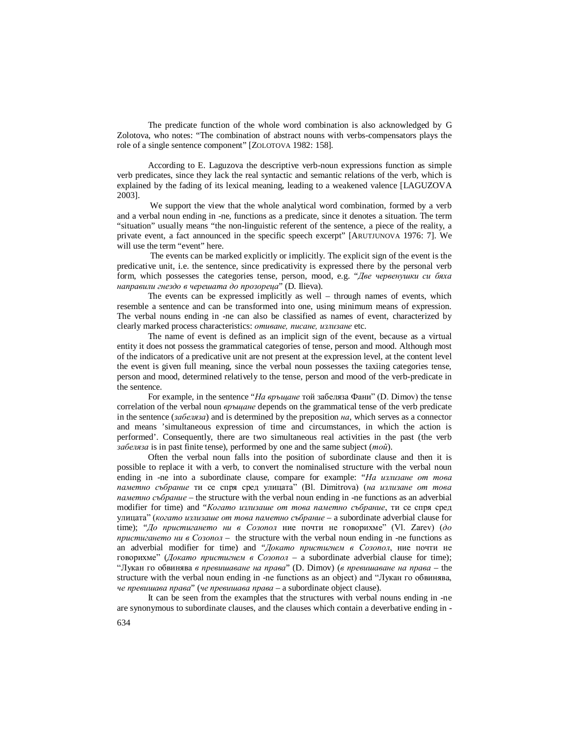The predicate function of the whole word combination is also acknowledged by G Zolotova, who notes: "The combination of abstract nouns with verbs-compensators plays the role of a single sentence component" [ZOLOTOVA 1982: 158].

According to E. Laguzova the descriptive verb-noun expressions function as simple verb predicates, since they lack the real syntactic and semantic relations of the verb, which is explained by the fading of its lexical meaning, leading to a weakened valence [LAGUZOVA 2003].

 We support the view that the whole analytical word combination, formed by a verb and a verbal noun ending in -ne, functions as a predicate, since it denotes a situation. The term "situation" usually means "the non-linguistic referent of the sentence, a piece of the reality, a private event, a fact announced in the specific speech excerpt" [ARUTJUNOVA 1976: 7]. We will use the term "event" here.

 The events can be marked explicitly or implicitly. The explicit sign of the event is the predicative unit, i.e. the sentence, since predicativity is expressed there by the personal verb form, which possesses the categories tense, person, mood, e.g. "*Две червенушки си бяха направили гнездо в черешата до прозореца*" (D. Ilieva).

The events can be expressed implicitly as well – through names of events, which resemble a sentence and can be transformed into one, using minimum means of expression. The verbal nouns ending in -ne can also be classified as names of event, characterized by clearly marked process characteristics: *отиване, писане, излизане* etc.

The name of event is defined as an implicit sign of the event, because as a virtual entity it does not possess the grammatical categories of tense, person and mood. Although most of the indicators of a predicative unit are not present at the expression level, at the content level the event is given full meaning, since the verbal noun possesses the taxiing categories tense, person and mood, determined relatively to the tense, person and mood of the verb-predicate in the sentence.

For example, in the sentence "*На връщане* той забеляза Фани" (D. Dimov) the tense correlation of the verbal noun *връщане* depends on the grammatical tense of the verb predicate in the sentence (*забеляза*) and is determined by the preposition *на*, which serves as a connector and means 'simultaneous expression of time and circumstances, in which the action is performed'. Consequently, there are two simultaneous real activities in the past (the verb *забеляза* is in past finite tense), performed by one and the same subject (*той*).

Often the verbal noun falls into the position of subordinate clause and then it is possible to replace it with a verb, to convert the nominalised structure with the verbal noun ending in -ne into a subordinate clause, compare for example: "*На излизане от това паметно събрание* ти се спря сред улицата" (Bl. Dimitrova) (*на излизане от това паметно събрание* – the structure with the verbal noun ending in -ne functions as an adverbial modifier for time) and "*Когато излизаше от това паметно събрание*, ти се спря сред улицата" (*когато излизаше от това паметно събрание* – a subordinate adverbial clause for time); "*До пристигането ни в Созопол* ние почти не говорихме" (Vl. Zarev) (*до пристигането ни в Созопол –* the structure with the verbal noun ending in -ne functions as an adverbial modifier for time) and "*Докато пристигнем в Созопол*, ние почти не говорихме" (*Докато пристигнем в Созопол –* a subordinate adverbial clause for time); "Лукан го обвинява *в превишаване на права*" (D. Dimov) (*в превишаване на права –* the structure with the verbal noun ending in -ne functions as an object) and "Лукан го обвинява, *че превишава права*" (*че превишава права –* a subordinate object clause).

It can be seen from the examples that the structures with verbal nouns ending in -ne are synonymous to subordinate clauses, and the clauses which contain a deverbative ending in -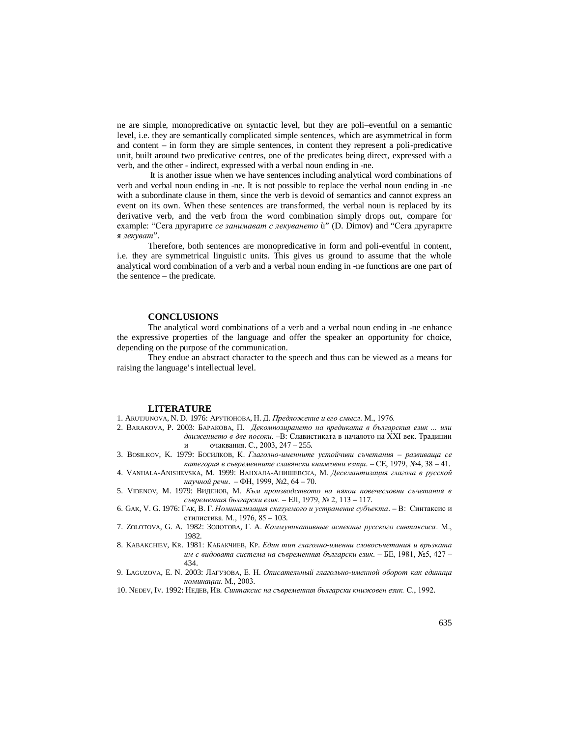ne are simple, monopredicative on syntactic level, but they are poli–eventful on a semantic level, i.e. they are semantically complicated simple sentences, which are asymmetrical in form and content – in form they are simple sentences, in content they represent a poli-predicative unit, built around two predicative centres, one of the predicates being direct, expressed with a verb, and the other - indirect, expressed with a verbal noun ending in -ne.

 It is another issue when we have sentences including analytical word combinations of verb and verbal noun ending in -ne. It is not possible to replace the verbal noun ending in -ne with a subordinate clause in them, since the verb is devoid of semantics and cannot express an event on its own. When these sentences are transformed, the verbal noun is replaced by its derivative verb, and the verb from the word combination simply drops out, compare for example: "Сега другарите *се занимават с лекуването* ù" (D. Dimov) and "Сега другарите я *лекуват*".

Therefore, both sentences are monopredicative in form and poli-eventful in content, i.e. they are symmetrical linguistic units. This gives us ground to assume that the whole analytical word combination of a verb and a verbal noun ending in -ne functions are one part of the sentence – the predicate.

## **CONCLUSIONS**

The analytical word combinations of a verb and a verbal noun ending in -ne enhance the expressive properties of the language and offer the speaker an opportunity for choice, depending on the purpose of the communication.

They endue an abstract character to the speech and thus can be viewed as a means for raising the language's intellectual level.

### **LITERATURE**

1. ARUTJUNOVA, N. D. 1976: АРУТЮНОВА, Н. Д. *Предложение и его смысл*. М., 1976.

- 2. BARAKOVA, P. 2003: БАРАКОВА, П. *Декомпозирането на предиката в българския език ... или движението в две посоки*. –В: Славистиката в началото на ХХІ век. Традиции и очаквания. С., 2003, 247 – 255.
- 3. BOSILKOV, K. 1979: БОСИЛКОВ, К. *Глаголно-именните устойчиви съчетания – развиваща се категория в съвременните славянски книжовни езици*. – СЕ, 1979, №4, 38 – 41.
- 4. VANHALA-ANISHEVSKA, M. 1999: ВАНХАЛА-АНИШЕВСКА, М. *Десемантизация глагола в русской научной речи*. – ФН, 1999, №2, 64 – 70.
- 5. VIDENOV, M. 1979: ВИДЕНОВ, М. *Към производството на някои повечесловни съчетания в съвременния български език.* – ЕЛ, 1979, № 2, 113 – 117.
- 6. GAK, V. G. 1976: ГАК, В. Г. *Номинализация сказуемого и устранение субъекта*. В: Синтаксис и стилистика. М., 1976, 85 – 103.
- 7. ZOLOTOVA, G. A. 1982: ЗОЛОТОВА, Г. А. *Коммуникативные аспекты русского синтаксиса*. М., 1982.
- 8. KABAKCHIEV, KR. 1981: КАБАКЧИЕВ, КР. *Един тип глаголно-именни словосъчетания и връзката им с видовата система на съвременния български език*. – БЕ, 1981, №5, 427 – 434.
- 9. LAGUZOVA, E. N. 2003: ЛАГУЗОВА, Е. Н. *Описательный глагольно-именной оборот как единица номинации*. М., 2003.
- 10. NEDEV, IV. 1992: НЕДЕВ, ИВ. *Синтаксис на съвременния български книжовен език.* С., 1992.